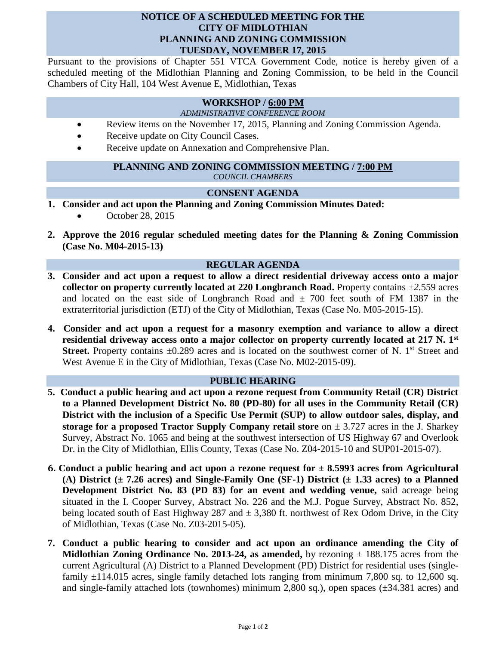# **NOTICE OF A SCHEDULED MEETING FOR THE CITY OF MIDLOTHIAN PLANNING AND ZONING COMMISSION TUESDAY, NOVEMBER 17, 2015**

Pursuant to the provisions of Chapter 551 VTCA Government Code, notice is hereby given of a scheduled meeting of the Midlothian Planning and Zoning Commission, to be held in the Council Chambers of City Hall, 104 West Avenue E, Midlothian, Texas

# **WORKSHOP / 6:00 PM**

#### *ADMINISTRATIVE CONFERENCE ROOM*

- Review items on the November 17, 2015, Planning and Zoning Commission Agenda.
- Receive update on City Council Cases.
- Receive update on Annexation and Comprehensive Plan.

### **PLANNING AND ZONING COMMISSION MEETING / 7:00 PM** *COUNCIL CHAMBERS*

# **CONSENT AGENDA**

- **1. Consider and act upon the Planning and Zoning Commission Minutes Dated:** 
	- October 28, 2015
- **2. Approve the 2016 regular scheduled meeting dates for the Planning & Zoning Commission (Case No. M04-2015-13)**

# **REGULAR AGENDA**

- **3. Consider and act upon a request to allow a direct residential driveway access onto a major collector on property currently located at 220 Longbranch Road.** Property contains *±2.*559 acres and located on the east side of Longbranch Road and *±* 700 feet south of FM 1387 in the extraterritorial jurisdiction (ETJ) of the City of Midlothian, Texas (Case No. M05-2015-15).
- **4. Consider and act upon a request for a masonry exemption and variance to allow a direct residential driveway access onto a major collector on property currently located at 217 N. 1st Street.** Property contains  $\pm 0.289$  acres and is located on the southwest corner of N. 1<sup>st</sup> Street and West Avenue E in the City of Midlothian, Texas (Case No. M02-2015-09).

# **PUBLIC HEARING**

- **5. Conduct a public hearing and act upon a rezone request from Community Retail (CR) District to a Planned Development District No. 80 (PD-80) for all uses in the Community Retail (CR) District with the inclusion of a Specific Use Permit (SUP) to allow outdoor sales, display, and storage for a proposed Tractor Supply Company retail store** on  $\pm$  3.727 acres in the J. Sharkey Survey, Abstract No. 1065 and being at the southwest intersection of US Highway 67 and Overlook Dr. in the City of Midlothian, Ellis County, Texas (Case No. Z04-2015-10 and SUP01-2015-07).
- **6. Conduct a public hearing and act upon a rezone request for ± 8.5993 acres from Agricultural (A) District (± 7.26 acres) and Single-Family One (SF-1) District (± 1.33 acres) to a Planned Development District No. 83 (PD 83) for an event and wedding venue,** said acreage being situated in the I. Cooper Survey, Abstract No. 226 and the M.J. Pogue Survey, Abstract No. 852, being located south of East Highway 287 and  $\pm$  3,380 ft. northwest of Rex Odom Drive, in the City of Midlothian, Texas (Case No. Z03-2015-05).
- **7. Conduct a public hearing to consider and act upon an ordinance amending the City of Midlothian Zoning Ordinance No. 2013-24, as amended,** by rezoning  $\pm$  188.175 acres from the current Agricultural (A) District to a Planned Development (PD) District for residential uses (singlefamily  $\pm$ 114.015 acres, single family detached lots ranging from minimum 7,800 sq. to 12,600 sq. and single-family attached lots (townhomes) minimum 2,800 sq.), open spaces (±34.381 acres) and